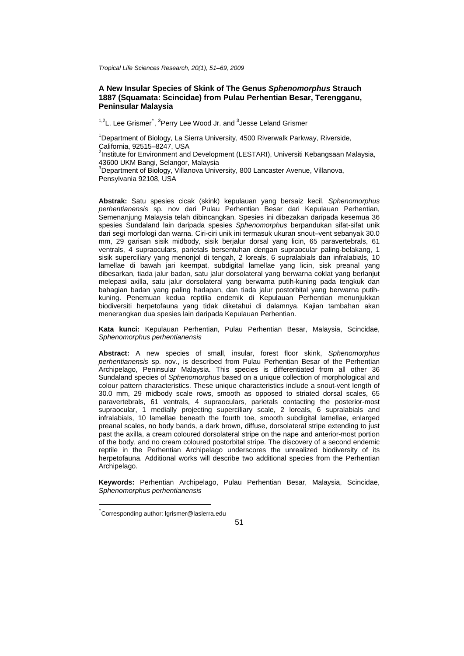*Tropical Life Sciences Research, 20(1), 51–69, 2009*

# **A New Insular Species of Skink of The Genus** *Sphenomorphus* **Strauch 1887 (Squamata: Scincidae) from Pulau Perhentian Besar, Terengganu, Peninsular Malaysia**

<sup>1,2</sup>L. Lee Grismer<sup>[\\*](#page-0-0)</sup>, <sup>3</sup>Perry Lee Wood Jr. and <sup>3</sup>Jesse Leland Grismer

<sup>1</sup>Department of Biology, La Sierra University, 4500 Riverwalk Parkway, Riverside, California, 92515–8247, USA

<sup>2</sup>Institute for Environment and Development (LESTARI), Universiti Kebangsaan Malaysia, 43600 UKM Bangi, Selangor, Malaysia

<sup>3</sup>Department of Biology, Villanova University, 800 Lancaster Avenue, Villanova, Pensylvania 92108, USA

**Abstrak:** Satu spesies cicak (skink) kepulauan yang bersaiz kecil, *Sphenomorphus perhentianensis* sp. nov dari Pulau Perhentian Besar dari Kepulauan Perhentian, Semenanjung Malaysia telah dibincangkan. Spesies ini dibezakan daripada kesemua 36 spesies Sundaland lain daripada spesies *Sphenomorphus* berpandukan sifat-sifat unik dari segi morfologi dan warna. Ciri-ciri unik ini termasuk ukuran snout–vent sebanyak 30.0 mm, 29 garisan sisik midbody, sisik berjalur dorsal yang licin, 65 paravertebrals, 61 ventrals, 4 supraoculars, parietals bersentuhan dengan supraocular paling-belakang, 1 sisik superciliary yang menonjol di tengah, 2 loreals, 6 supralabials dan infralabials, 10 lamellae di bawah jari keempat, subdigital lamellae yang licin, sisk preanal yang dibesarkan, tiada jalur badan, satu jalur dorsolateral yang berwarna coklat yang berlanjut melepasi axilla, satu jalur dorsolateral yang berwarna putih-kuning pada tengkuk dan bahagian badan yang paling hadapan, dan tiada jalur postorbital yang berwarna putihkuning. Penemuan kedua reptilia endemik di Kepulauan Perhentian menunjukkan biodiversiti herpetofauna yang tidak diketahui di dalamnya. Kajian tambahan akan menerangkan dua spesies lain daripada Kepulauan Perhentian.

**Kata kunci:** Kepulauan Perhentian, Pulau Perhentian Besar, Malaysia, Scincidae, *Sphenomorphus perhentianensis*

**Abstract:** A new species of small, insular, forest floor skink, *Sphenomorphus perhentianensis* sp. nov., is described from Pulau Perhentian Besar of the Perhentian Archipelago, Peninsular Malaysia. This species is differentiated from all other 36 Sundaland species of *Sphenomorphus* based on a unique collection of morphological and colour pattern characteristics. These unique characteristics include a snout-vent length of 30.0 mm, 29 midbody scale rows, smooth as opposed to striated dorsal scales, 65 paravertebrals, 61 ventrals, 4 supraoculars, parietals contacting the posterior-most supraocular, 1 medially projecting superciliary scale, 2 loreals, 6 supralabials and infralabials, 10 lamellae beneath the fourth toe, smooth subdigital lamellae, enlarged preanal scales, no body bands, a dark brown, diffuse, dorsolateral stripe extending to just past the axilla, a cream coloured dorsolateral stripe on the nape and anterior-most portion of the body, and no cream coloured postorbital stripe. The discovery of a second endemic reptile in the Perhentian Archipelago underscores the unrealized biodiversity of its herpetofauna. Additional works will describe two additional species from the Perhentian Archipelago.

**Keywords:** Perhentian Archipelago, Pulau Perhentian Besar, Malaysia, Scincidae, *Sphenomorphus perhentianensis*

1

<span id="page-0-0"></span><sup>\*</sup> Corresponding author: [lgrismer@lasierra.edu](mailto:lgrismer@lasierra.edu)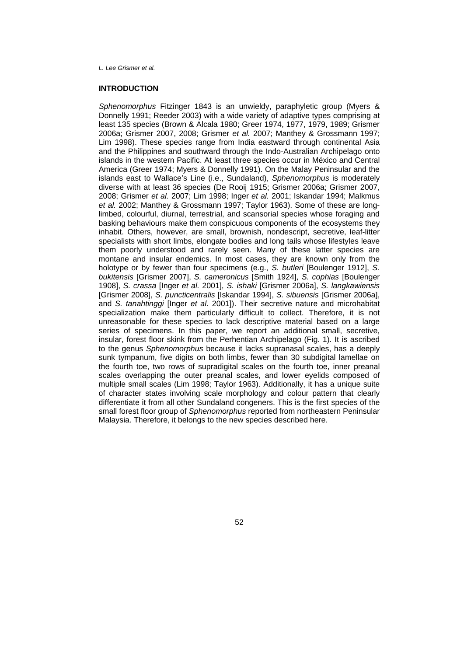## **INTRODUCTION**

*Sphenomorphus* Fitzinger 1843 is an unwieldy, paraphyletic group (Myers & Donnelly 1991; Reeder 2003) with a wide variety of adaptive types comprising at least 135 species (Brown & Alcala 1980; Greer 1974, 1977, 1979, 1989; Grismer 2006a; Grismer 2007, 2008; Grismer *et al.* 2007; Manthey & Grossmann 1997; Lim 1998). These species range from India eastward through continental Asia and the Philippines and southward through the Indo-Australian Archipelago onto islands in the western Pacific. At least three species occur in México and Central America (Greer 1974; Myers & Donnelly 1991). On the Malay Peninsular and the islands east to Wallace's Line (i.e., Sundaland), *Sphenomorphus* is moderately diverse with at least 36 species (De Rooij 1915; Grismer 2006a; Grismer 2007, 2008; Grismer *et al.* 2007; Lim 1998; Inger *et al.* 2001; Iskandar 1994; Malkmus *et al.* 2002; Manthey & Grossmann 1997; Taylor 1963). Some of these are longlimbed, colourful, diurnal, terrestrial, and scansorial species whose foraging and basking behaviours make them conspicuous components of the ecosystems they inhabit. Others, however, are small, brownish, nondescript, secretive, leaf-litter specialists with short limbs, elongate bodies and long tails whose lifestyles leave them poorly understood and rarely seen. Many of these latter species are montane and insular endemics. In most cases, they are known only from the holotype or by fewer than four specimens (e.g., *S. butleri* [Boulenger 1912], *S. bukitensis* [Grismer 2007], *S. cameronicus* [Smith 1924], *S. cophias* [Boulenger 1908], *S. crassa* [Inger *et al.* 2001], *S. ishaki* [Grismer 2006a], *S. langkawiensis*  [Grismer 2008], *S. puncticentralis* [Iskandar 1994], *S. sibuensis* [Grismer 2006a], and *S. tanahtinggi* [Inger *et al.* 2001]). Their secretive nature and microhabitat specialization make them particularly difficult to collect. Therefore, it is not unreasonable for these species to lack descriptive material based on a large series of specimens. In this paper, we report an additional small, secretive, insular, forest floor skink from the Perhentian Archipelago (Fig. 1). It is ascribed to the genus *Sphenomorphus* because it lacks supranasal scales, has a deeply sunk tympanum, five digits on both limbs, fewer than 30 subdigital lamellae on the fourth toe, two rows of supradigital scales on the fourth toe, inner preanal scales overlapping the outer preanal scales, and lower eyelids composed of multiple small scales (Lim 1998; Taylor 1963). Additionally, it has a unique suite of character states involving scale morphology and colour pattern that clearly differentiate it from all other Sundaland congeners. This is the first species of the small forest floor group of *Sphenomorphus* reported from northeastern Peninsular Malaysia. Therefore, it belongs to the new species described here.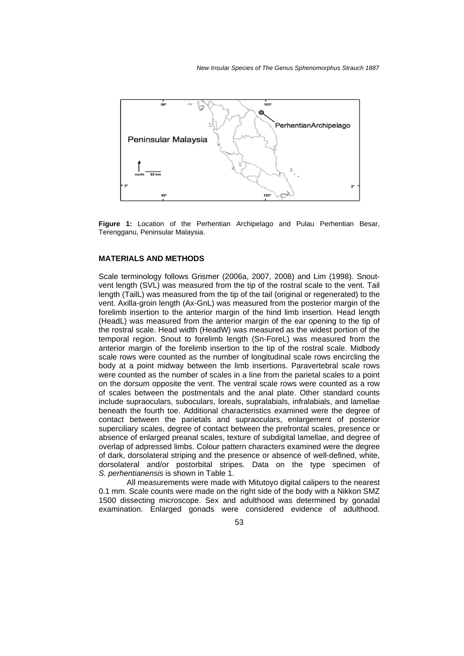

**Figure 1:** Location of the Perhentian Archipelago and Pulau Perhentian Besar, Terengganu, Peninsular Malaysia.

# **MATERIALS AND METHODS**

Scale terminology follows Grismer (2006a, 2007, 2008) and Lim (1998). Snoutvent length (SVL) was measured from the tip of the rostral scale to the vent. Tail length (TailL) was measured from the tip of the tail (original or regenerated) to the vent. Axilla-groin length (Ax-GnL) was measured from the posterior margin of the forelimb insertion to the anterior margin of the hind limb insertion. Head length (HeadL) was measured from the anterior margin of the ear opening to the tip of the rostral scale. Head width (HeadW) was measured as the widest portion of the temporal region. Snout to forelimb length (Sn-ForeL) was measured from the anterior margin of the forelimb insertion to the tip of the rostral scale. Midbody scale rows were counted as the number of longitudinal scale rows encircling the body at a point midway between the limb insertions. Paravertebral scale rows were counted as the number of scales in a line from the parietal scales to a point on the dorsum opposite the vent. The ventral scale rows were counted as a row of scales between the postmentals and the anal plate. Other standard counts include supraoculars, suboculars, loreals, supralabials, infralabials, and lamellae beneath the fourth toe. Additional characteristics examined were the degree of contact between the parietals and supraoculars, enlargement of posterior superciliary scales, degree of contact between the prefrontal scales, presence or absence of enlarged preanal scales, texture of subdigital lamellae, and degree of overlap of adpressed limbs. Colour pattern characters examined were the degree of dark, dorsolateral striping and the presence or absence of well-defined, white, dorsolateral and/or postorbital stripes. Data on the type specimen of *S. perhentianensis* is shown in Table 1.

All measurements were made with Mitutoyo digital calipers to the nearest 0.1 mm. Scale counts were made on the right side of the body with a Nikkon SMZ 1500 dissecting microscope. Sex and adulthood was determined by gonadal examination. Enlarged gonads were considered evidence of adulthood.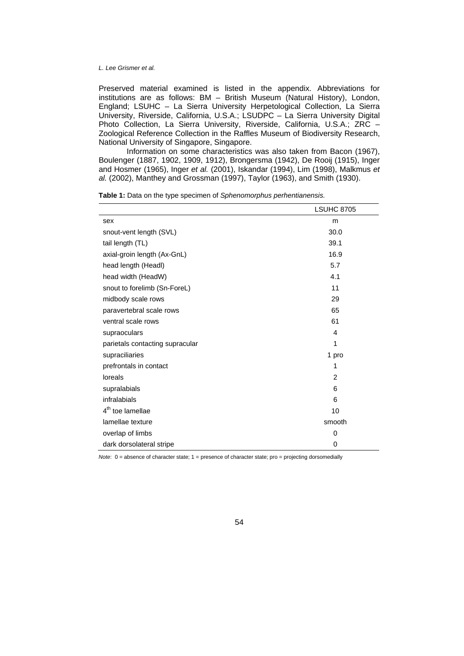Preserved material examined is listed in the appendix. Abbreviations for institutions are as follows: BM – British Museum (Natural History), London, England; LSUHC – La Sierra University Herpetological Collection, La Sierra University, Riverside, California, U.S.A.; LSUDPC – La Sierra University Digital Photo Collection, La Sierra University, Riverside, California, U.S.A.; ZRC – Zoological Reference Collection in the Raffles Museum of Biodiversity Research, National University of Singapore, Singapore.

Information on some characteristics was also taken from Bacon (1967), Boulenger (1887, 1902, 1909, 1912), Brongersma (1942), De Rooij (1915), Inger and Hosmer (1965), Inger *et al.* (2001), Iskandar (1994), Lim (1998), Malkmus *et al.* (2002), Manthey and Grossman (1997), Taylor (1963), and Smith (1930).

|                                 | <b>LSUHC 8705</b> |
|---------------------------------|-------------------|
| sex                             | m                 |
| snout-vent length (SVL)         | 30.0              |
| tail length (TL)                | 39.1              |
| axial-groin length (Ax-GnL)     | 16.9              |
| head length (Headl)             | 5.7               |
| head width (HeadW)              | 4.1               |
| snout to forelimb (Sn-ForeL)    | 11                |
| midbody scale rows              | 29                |
| paravertebral scale rows        | 65                |
| ventral scale rows              | 61                |
| supraoculars                    | 4                 |
| parietals contacting supracular | 1                 |
| supraciliaries                  | 1 pro             |
| prefrontals in contact          | 1                 |
| loreals                         | 2                 |
| supralabials                    | 6                 |
| infralabials                    | 6                 |
| $4th$ toe lamellae              | 10                |
| lamellae texture                | smooth            |
| overlap of limbs                | 0                 |
| dark dorsolateral stripe        | 0                 |

**Table 1:** Data on the type specimen of *Sphenomorphus perhentianensis.* 

*Note*: 0 = absence of character state; 1 = presence of character state; pro = projecting dorsomedially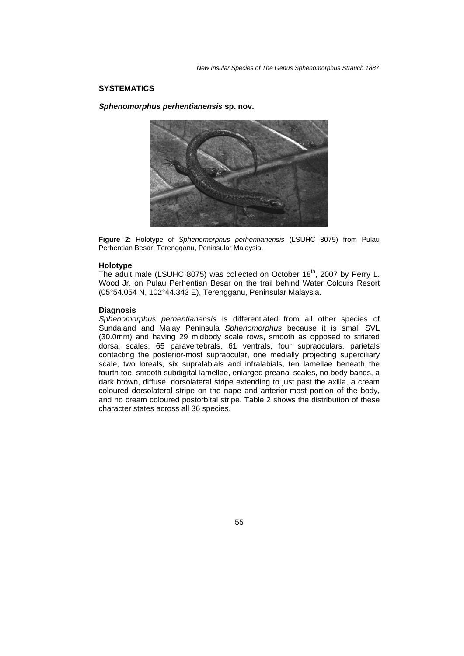*New Insular Species of The Genus Sphenomorphus Strauch 1887* 

## **SYSTEMATICS**

*Sphenomorphus perhentianensis* **sp. nov.** 



**Figure 2**: Holotype of *Sphenomorphus perhentianensis* (LSUHC 8075) from Pulau Perhentian Besar, Terengganu, Peninsular Malaysia.

### **Holotype**

The adult male (LSUHC 8075) was collected on October 18<sup>th</sup>, 2007 by Perry L. Wood Jr. on Pulau Perhentian Besar on the trail behind Water Colours Resort (05°54.054 N, 102°44.343 E), Terengganu, Peninsular Malaysia.

## **Diagnosis**

*Sphenomorphus perhentianensis* is differentiated from all other species of Sundaland and Malay Peninsula *Sphenomorphus* because it is small SVL (30.0mm) and having 29 midbody scale rows, smooth as opposed to striated dorsal scales, 65 paravertebrals, 61 ventrals, four supraoculars, parietals contacting the posterior-most supraocular, one medially projecting superciliary scale, two loreals, six supralabials and infralabials, ten lamellae beneath the fourth toe, smooth subdigital lamellae, enlarged preanal scales, no body bands, a dark brown, diffuse, dorsolateral stripe extending to just past the axilla, a cream coloured dorsolateral stripe on the nape and anterior-most portion of the body, and no cream coloured postorbital stripe. Table 2 shows the distribution of these character states across all 36 species.

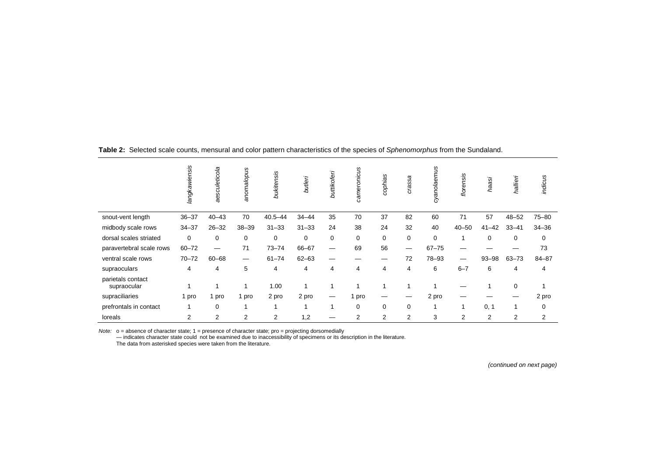|                                  | langkawiensis  | aesculeticola | anomalopus                     | bukitensis     | butleri     | buttikoferi | cameronicus | cophias | crassa         | syanolaemus | florensis      | haasi          | hallieri  | indicus   |
|----------------------------------|----------------|---------------|--------------------------------|----------------|-------------|-------------|-------------|---------|----------------|-------------|----------------|----------------|-----------|-----------|
| snout-vent length                | $36 - 37$      | $40 - 43$     | 70                             | $40.5 - 44$    | $34 - 44$   | 35          | 70          | 37      | 82             | 60          | 71             | 57             | $48 - 52$ | $75 - 80$ |
| midbody scale rows               | $34 - 37$      | $26 - 32$     | $38 - 39$                      | $31 - 33$      | $31 - 33$   | 24          | 38          | 24      | 32             | 40          | $40 - 50$      | $41 - 42$      | $33 - 41$ | $34 - 36$ |
| dorsal scales striated           | $\mathbf 0$    | 0             | 0                              | 0              | $\mathbf 0$ | 0           | 0           | 0       | $\mathbf 0$    | 0           |                | 0              | 0         | 0         |
| paravertebral scale rows         | $60 - 72$      |               | 71                             | $73 - 74$      | 66-67       |             | 69          | 56      |                | $67 - 75$   | —              |                |           | 73        |
| ventral scale rows               | $70 - 72$      | $60 - 68$     | $\qquad \qquad \longleftarrow$ | $61 - 74$      | $62 - 63$   | —           |             | —       | 72             | 78-93       | –              | $93 - 98$      | $63 - 73$ | $84 - 87$ |
| supraoculars                     | 4              | 4             | 5                              | 4              | 4           | 4           | 4           | 4       | 4              | 6           | $6 - 7$        | 6              | 4         | 4         |
| parietals contact<br>supraocular | 1              |               | 1                              | 1.00           |             |             | -1          |         |                |             |                |                | 0         |           |
| supraciliaries                   | 1 pro          | pro           | 1 pro                          | 2 pro          | 2 pro       | –           | l pro       |         |                | 2 pro       |                |                |           | 2 pro     |
| prefrontals in contact           |                | $\mathbf 0$   |                                |                |             |             | 0           | 0       | 0              |             |                | 0, 1           | 1         | 0         |
| loreals                          | $\overline{2}$ | 2             | $\overline{2}$                 | $\overline{2}$ | 1,2         |             | 2           | 2       | $\overline{2}$ | 3           | $\overline{2}$ | $\overline{2}$ | 2         | 2         |

**Table 2:** Selected scale counts, mensural and color pattern characteristics of the species of *Sphenomorphus* from the Sundaland.

Note: o = absence of character state; 1 = presence of character state; pro = projecting dorsomedially<br>- indicates character state could not be examined due to inaccessibility of specimens or its description in the literatu

The data from asterisked species were taken from the literature.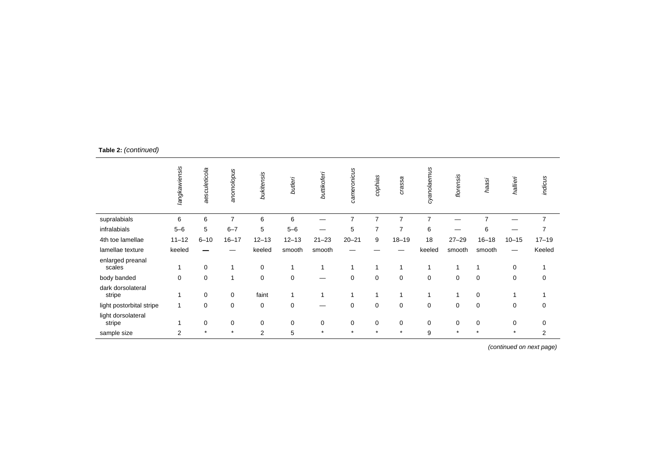|                              | langkawiensis | aesculeticola | anomolopus     | bukitensis  | butleri     | buttikoferi | cameronicus | cophias     | crassa         | cyanolaemus    | florensis | haasi          | hallieri    | indicus        |
|------------------------------|---------------|---------------|----------------|-------------|-------------|-------------|-------------|-------------|----------------|----------------|-----------|----------------|-------------|----------------|
| supralabials                 | 6             | 6             | $\overline{7}$ | 6           | 6           |             | 7           | 7           | $\overline{7}$ | $\overline{7}$ |           | $\overline{7}$ |             | $\overline{7}$ |
| infralabials                 | $5 - 6$       | 5             | $6 - 7$        | 5           | $5 - 6$     |             | 5           | 7           | $\overline{7}$ | 6              |           | 6              |             | $\overline{ }$ |
| 4th toe lamellae             | $11 - 12$     | $6 - 10$      | $16 - 17$      | $12 - 13$   | $12 - 13$   | $21 - 23$   | $20 - 21$   | 9           | $18 - 19$      | 18             | $27 - 29$ | $16 - 18$      | $10 - 15$   | $17 - 19$      |
| lamellae texture             | keeled        |               |                | keeled      | smooth      | smooth      |             |             |                | keeled         | smooth    | smooth         |             | Keeled         |
| enlarged preanal<br>scales   | -4            | 0             |                | 0           | 1           | $\mathbf 1$ |             | 1           |                | 1              |           |                | 0           |                |
| body banded                  | $\mathbf 0$   | $\mathbf 0$   | 1              | $\mathbf 0$ | $\mathbf 0$ |             | $\mathbf 0$ | $\mathbf 0$ | 0              | $\mathbf 0$    | 0         | $\mathbf 0$    | 0           | 0              |
| dark dorsolateral<br>stripe  | 1             | 0             | 0              | faint       | 1           | 1           | 1           | 1           | 1              |                |           | 0              | 1           |                |
| light postorbital stripe     | 1             | 0             | 0              | 0           | $\mathbf 0$ | –           | $\mathbf 0$ | $\mathbf 0$ | $\mathbf 0$    | 0              | 0         | 0              | $\mathbf 0$ | 0              |
| light dorsolateral<br>stripe | 1             | 0             | 0              | 0           | 0           | 0           | 0           | 0           | 0              | 0              | 0         | 0              | 0           | 0              |
| sample size                  | 2             | $\star$       | $\star$        | 2           | 5           | $\star$     | $\star$     | $\star$     | $\star$        | 9              | $\star$   |                | $\star$     | 2              |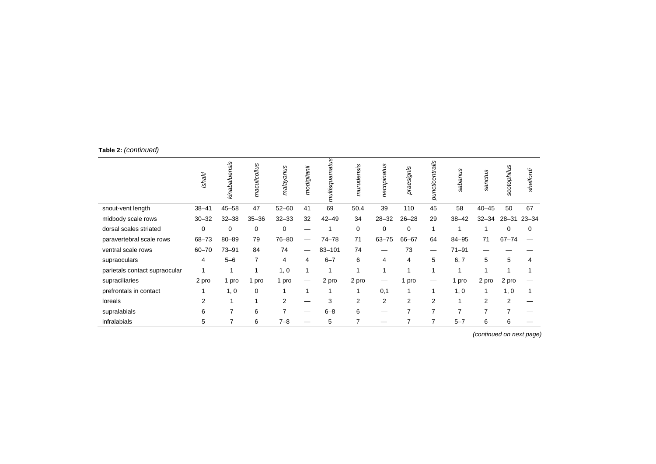|                               | ishaki    | kinabaluensis  | maculicollus | malayanus      | modiglianii | ultisquamatus | murudensis     | necopinatus    | praesignis | puncticentralis | S<br>neqes | sanctus        | scotophilus    | shelfordi |
|-------------------------------|-----------|----------------|--------------|----------------|-------------|---------------|----------------|----------------|------------|-----------------|------------|----------------|----------------|-----------|
| snout-vent length             | $38 - 41$ | $45 - 58$      | 47           | $52 - 60$      | 41          | 69            | 50.4           | 39             | 110        | 45              | 58         | $40 - 45$      | 50             | 67        |
| midbody scale rows            | $30 - 32$ | $32 - 38$      | $35 - 36$    | $32 - 33$      | 32          | $42 - 49$     | 34             | $28 - 32$      | $26 - 28$  | 29              | $38 - 42$  | $32 - 34$      | 28-31 23-34    |           |
| dorsal scales striated        | 0         | $\Omega$       | 0            | 0              |             |               | 0              | $\Omega$       | $\Omega$   |                 |            |                | 0              | 0         |
| paravertebral scale rows      | $68 - 73$ | $80 - 89$      | 79           | 76-80          |             | $74 - 78$     | 71             | $63 - 75$      | 66-67      | 64              | 84-95      | 71             | $67 - 74$      |           |
| ventral scale rows            | $60 - 70$ | $73 - 91$      | 84           | 74             |             | $83 - 101$    | 74             |                | 73         |                 | $71 - 91$  |                |                |           |
| supraoculars                  | 4         | $5 - 6$        | 7            | 4              | 4           | $6 - 7$       | 6              | 4              | 4          | 5               | 6, 7       | 5              | 5              | 4         |
| parietals contact supraocular |           |                | 1            | 1, 0           |             |               |                |                |            |                 |            |                |                |           |
| supraciliaries                | 2 pro     | 1 pro          | pro          | 1 pro          |             | 2 pro         | 2 pro          |                | pro        |                 | pro        | 2 pro          | 2 pro          |           |
| prefrontals in contact        |           | 1, 0           | 0            |                |             |               |                | 0,1            | 1          |                 | 1, 0       |                | 1, 0           |           |
| loreals                       | 2         |                | 1            | $\overline{2}$ |             | 3             | 2              | $\overline{2}$ | 2          | 2               | 4          | 2              | $\overline{2}$ |           |
| supralabials                  | 6         | $\overline{ }$ | 6            | $\overline{7}$ |             | $6 - 8$       | 6              |                | 7          |                 | 7          | $\overline{7}$ | $\overline{ }$ |           |
| infralabials                  | 5         | 7              | 6            | $7 - 8$        |             | 5             | $\overline{7}$ | –              |            |                 | $5 - 7$    | 6              | 6              |           |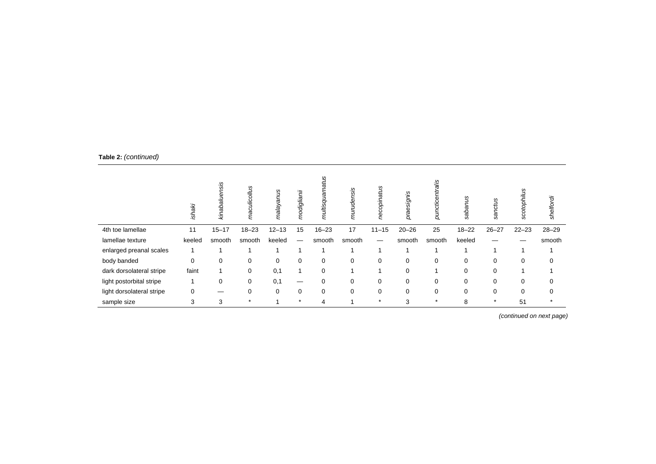|                           | ishaki | sis<br>kinabalı | maculicollus | malayanus   | modiglianii | Ğб<br>multisqua | murudensis | s         | praesignis  | puncticentralis | S<br>Ř<br>õ | sanctus   | scotophilus | shelfordi |
|---------------------------|--------|-----------------|--------------|-------------|-------------|-----------------|------------|-----------|-------------|-----------------|-------------|-----------|-------------|-----------|
| 4th toe lamellae          | 11     | $15 - 17$       | $18 - 23$    | $12 - 13$   | 15          | $16 - 23$       | 17         | $11 - 15$ | $20 - 26$   | 25              | $18 - 22$   | $26 - 27$ | $22 - 23$   | $28 - 29$ |
| lamellae texture          | keeled | smooth          | smooth       | keeled      |             | smooth          | smooth     | —         | smooth      | smooth          | keeled      |           |             | smooth    |
| enlarged preanal scales   |        |                 |              |             |             |                 |            |           |             |                 |             |           |             |           |
| body banded               | 0      | 0               | 0            | $\mathbf 0$ | 0           | 0               | 0          | 0         | $\mathbf 0$ | $\mathbf 0$     | 0           | 0         | $\mathbf 0$ | $\Omega$  |
| dark dorsolateral stripe  | faint  |                 | 0            | 0,1         | 1           | $\Omega$        |            |           | $\Omega$    |                 | $\Omega$    | 0         |             |           |
| light postorbital stripe  |        | 0               | 0            | 0,1         | –           | 0               | 0          | 0         | $\mathbf 0$ | 0               | 0           | 0         | $\mathbf 0$ | $\Omega$  |
| light dorsolateral stripe | 0      |                 | 0            | 0           | 0           | 0               | 0          | 0         | $\Omega$    | 0               | 0           | 0         | $\Omega$    | $\Omega$  |
| sample size               | 3      | 3               | $\star$      |             | $\star$     | 4               |            | $\star$   | 3           |                 | 8           | $\star$   | 51          |           |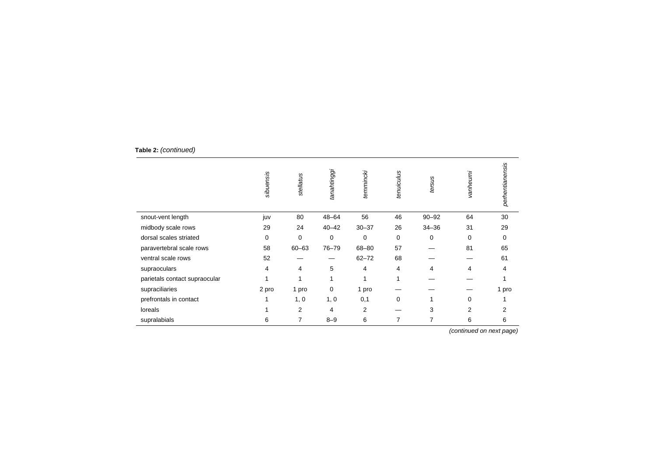|                               | sibuensis | stellatus | tanahtinggi | temmincki | tenuiculus  | tersus    | vanheurni | perhentianensis |
|-------------------------------|-----------|-----------|-------------|-----------|-------------|-----------|-----------|-----------------|
| snout-vent length             | juv       | 80        | $48 - 64$   | 56        | 46          | $90 - 92$ | 64        | 30              |
| midbody scale rows            | 29        | 24        | $40 - 42$   | $30 - 37$ | 26          | $34 - 36$ | 31        | 29              |
| dorsal scales striated        | $\Omega$  | $\Omega$  | $\mathbf 0$ | 0         | $\mathbf 0$ | 0         | 0         | 0               |
| paravertebral scale rows      | 58        | $60 - 63$ | $76 - 79$   | 68-80     | 57          |           | 81        | 65              |
| ventral scale rows            | 52        |           |             | $62 - 72$ | 68          |           |           | 61              |
| supraoculars                  | 4         | 4         | 5           | 4         | 4           | 4         | 4         | 4               |
| parietals contact supraocular |           | 1         | 1           | 1         | 1           |           |           |                 |
| supraciliaries                | 2 pro     | 1 pro     | $\Omega$    | 1 pro     |             |           |           | 1 pro           |
| prefrontals in contact        |           | 1, 0      | 1, 0        | 0,1       | $\mathbf 0$ |           | $\Omega$  |                 |
| loreals                       |           | 2         | 4           | 2         |             | 3         | 2         | 2               |
| supralabials                  | 6         | 7         | $8 - 9$     | 6         | 7           | 7         | 6         | 6               |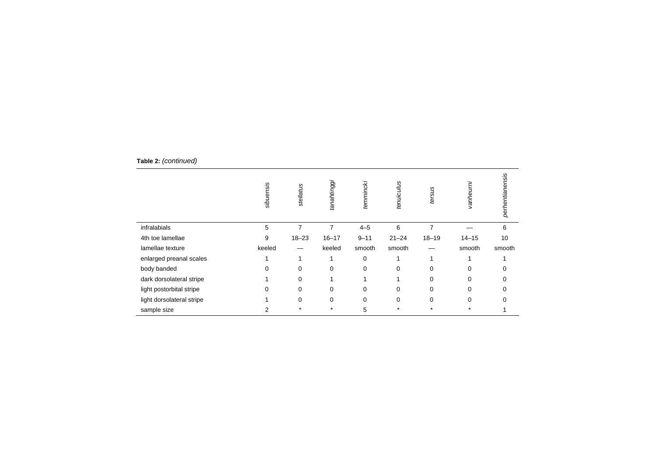|                           | sibuensis | stellatus | tanahtinggi | temmincki | tenuiculus | tersus         | vanheurni | perhentianensis |
|---------------------------|-----------|-----------|-------------|-----------|------------|----------------|-----------|-----------------|
| infralabials              | 5         | 7         | 7           | $4 - 5$   | 6          | $\overline{7}$ |           | 6               |
| 4th toe lamellae          | 9         | $18 - 23$ | $16 - 17$   | $9 - 11$  | $21 - 24$  | $18 - 19$      | $14 - 15$ | 10              |
| lamellae texture          | keeled    |           | keeled      | smooth    | smooth     |                | smooth    | smooth          |
| enlarged preanal scales   |           |           |             | 0         |            | 1              |           |                 |
| body banded               | 0         | $\Omega$  | $\mathbf 0$ | 0         | $\Omega$   | $\Omega$       | $\Omega$  |                 |
| dark dorsolateral stripe  |           | $\Omega$  |             |           |            | $\Omega$       | $\Omega$  | 0               |
| light postorbital stripe  | 0         | 0         | $\Omega$    | $\Omega$  | $\Omega$   | $\Omega$       | $\Omega$  |                 |
| light dorsolateral stripe |           | $\Omega$  | 0           | $\Omega$  | $\Omega$   | $\Omega$       | $\Omega$  | O               |
| sample size               | 2         | $\star$   | $\star$     | 5         | $\star$    | $\star$        |           |                 |

 **Table 2:** *(continued)*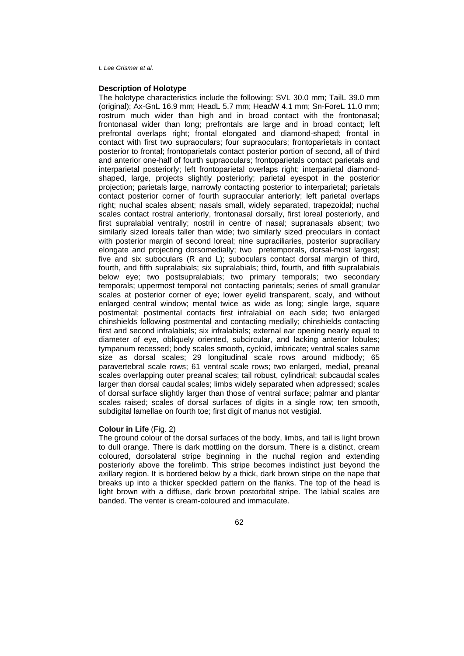## **Description of Holotype**

The holotype characteristics include the following: SVL 30.0 mm; TailL 39.0 mm (original); Ax-GnL 16.9 mm; HeadL 5.7 mm; HeadW 4.1 mm; Sn-ForeL 11.0 mm; rostrum much wider than high and in broad contact with the frontonasal; frontonasal wider than long; prefrontals are large and in broad contact; left prefrontal overlaps right; frontal elongated and diamond-shaped; frontal in contact with first two supraoculars; four supraoculars; frontoparietals in contact posterior to frontal; frontoparietals contact posterior portion of second, all of third and anterior one-half of fourth supraoculars; frontoparietals contact parietals and interparietal posteriorly; left frontoparietal overlaps right; interparietal diamondshaped, large, projects slightly posteriorly; parietal eyespot in the posterior projection; parietals large, narrowly contacting posterior to interparietal; parietals contact posterior corner of fourth supraocular anteriorly; left parietal overlaps right; nuchal scales absent; nasals small, widely separated, trapezoidal; nuchal scales contact rostral anteriorly, frontonasal dorsally, first loreal posteriorly, and first supralabial ventrally; nostril in centre of nasal; supranasals absent; two similarly sized loreals taller than wide; two similarly sized preoculars in contact with posterior margin of second loreal; nine supraciliaries, posterior supraciliary elongate and projecting dorsomedially; two pretemporals, dorsal-most largest; five and six suboculars (R and L); suboculars contact dorsal margin of third, fourth, and fifth supralabials; six supralabials; third, fourth, and fifth supralabials below eye; two postsupralabials; two primary temporals; two secondary temporals; uppermost temporal not contacting parietals; series of small granular scales at posterior corner of eye; lower eyelid transparent, scaly, and without enlarged central window; mental twice as wide as long; single large, square postmental; postmental contacts first infralabial on each side; two enlarged chinshields following postmental and contacting medially; chinshields contacting first and second infralabials; six infralabials; external ear opening nearly equal to diameter of eye, obliquely oriented, subcircular, and lacking anterior lobules; tympanum recessed; body scales smooth, cycloid, imbricate; ventral scales same size as dorsal scales; 29 longitudinal scale rows around midbody; 65 paravertebral scale rows; 61 ventral scale rows; two enlarged, medial, preanal scales overlapping outer preanal scales; tail robust, cylindrical; subcaudal scales larger than dorsal caudal scales; limbs widely separated when adpressed; scales of dorsal surface slightly larger than those of ventral surface; palmar and plantar scales raised; scales of dorsal surfaces of digits in a single row; ten smooth, subdigital lamellae on fourth toe; first digit of manus not vestigial.

#### **Colour in Life** (Fig. 2)

The ground colour of the dorsal surfaces of the body, limbs, and tail is light brown to dull orange. There is dark mottling on the dorsum. There is a distinct, cream coloured, dorsolateral stripe beginning in the nuchal region and extending posteriorly above the forelimb. This stripe becomes indistinct just beyond the axillary region. It is bordered below by a thick, dark brown stripe on the nape that breaks up into a thicker speckled pattern on the flanks. The top of the head is light brown with a diffuse, dark brown postorbital stripe. The labial scales are banded. The venter is cream-coloured and immaculate.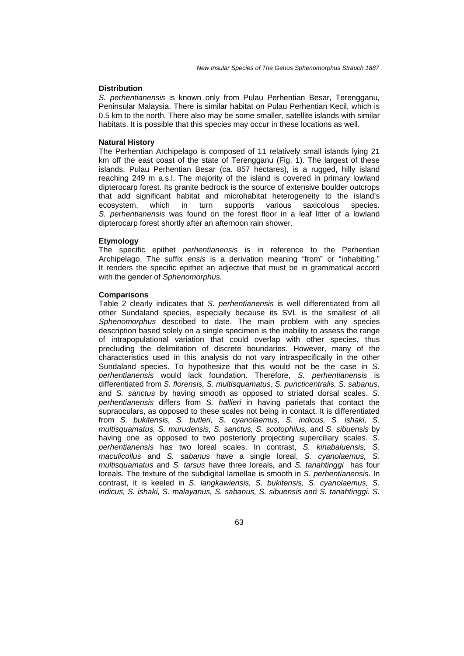## **Distribution**

*S. perhentianensis* is known only from Pulau Perhentian Besar, Terengganu, Peninsular Malaysia. There is similar habitat on Pulau Perhentian Kecil, which is 0.5 km to the north. There also may be some smaller, satellite islands with similar habitats. It is possible that this species may occur in these locations as well.

## **Natural History**

The Perhentian Archipelago is composed of 11 relatively small islands lying 21 km off the east coast of the state of Terengganu (Fig. 1). The largest of these islands, Pulau Perhentian Besar (ca. 857 hectares), is a rugged, hilly island reaching 249 m a.s.l. The majority of the island is covered in primary lowland dipterocarp forest. Its granite bedrock is the source of extensive boulder outcrops that add significant habitat and microhabitat heterogeneity to the island's ecosystem, which in turn supports various saxicolous species. *S. perhentianensis* was found on the forest floor in a leaf litter of a lowland dipterocarp forest shortly after an afternoon rain shower.

#### **Etymology**

The specific epithet *perhentianensis* is in reference to the Perhentian Archipelago. The suffix *ensis* is a derivation meaning "from" or "inhabiting." It renders the specific epithet an adjective that must be in grammatical accord with the gender of *Sphenomorphus.* 

#### **Comparisons**

Table 2 clearly indicates that *S. perhentianensis* is well differentiated from all other Sundaland species, especially because its SVL is the smallest of all *Sphenomorphus* described to date. The main problem with any species description based solely on a single specimen is the inability to assess the range of intrapopulational variation that could overlap with other species, thus precluding the delimitation of discrete boundaries. However, many of the characteristics used in this analysis do not vary intraspecifically in the other Sundaland species. To hypothesize that this would not be the case in *S. perhentianensis* would lack foundation. Therefore, *S. perhentianensis* is differentiated from *S. florensis, S. multisquamatus, S. puncticentralis, S. sabanus,*  and *S. sanctus* by having smooth as opposed to striated dorsal scales. *S. perhentianensis* differs from *S. hallieri* in having parietals that contact the supraoculars, as opposed to these scales not being in contact. It is differentiated from *S. bukitensis, S. butleri, S. cyanolaemus, S. indicus, S. ishaki, S. multisquamatus, S. murudensis, S. sanctus, S. scotophilus,* and *S. sibuensis* by having one as opposed to two posteriorly projecting superciliary scales. *S. perhentianensis* has two loreal scales. In contrast, *S. kinabaluensis, S. maculicollus* and *S. sabanus* have a single loreal, *S. cyanolaemus, S. multisquamatus* and *S. tarsus* have three loreals*,* and *S. tanahtinggi* has four loreals*.* The texture of the subdigital lamellae is smooth in *S. perhentianensis*. In contrast, it is keeled in *S. langkawiensis, S. bukitensis, S. cyanolaemus, S. indicus, S. ishaki, S. malayanus, S. sabanus, S. sibuensis* and *S. tanahtinggi. S.*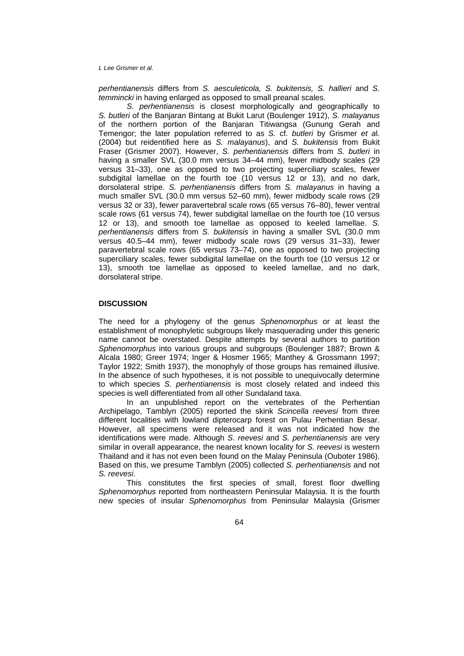*perhentianensis* differs from *S. aesculeticola, S. bukitensis, S. hallieri* and *S. temmincki* in having enlarged as opposed to small preanal scales.

 *S. perhentianensis* is closest morphologically and geographically to *S. butleri* of the Banjaran Bintang at Bukit Larut (Boulenger 1912), *S. malayanus*  of the northern portion of the Banjaran Titiwangsa (Gunung Gerah and Temengor; the later population referred to as *S.* cf. *butleri* by Grismer *et a*l. (2004) but reidentified here as *S. malayanus*), and *S. bukitensis* from Bukit Fraser (Grismer 2007). However, *S. perhentianensis* differs from *S. butleri* in having a smaller SVL (30.0 mm versus 34-44 mm), fewer midbody scales (29 versus 31–33), one as opposed to two projecting superciliary scales, fewer subdigital lamellae on the fourth toe (10 versus 12 or 13), and no dark, dorsolateral stripe. *S. perhentianensis* differs from *S. malayanus* in having a much smaller SVL (30.0 mm versus 52–60 mm), fewer midbody scale rows (29 versus 32 or 33), fewer paravertebral scale rows (65 versus 76–80), fewer ventral scale rows (61 versus 74), fewer subdigital lamellae on the fourth toe (10 versus 12 or 13), and smooth toe lamellae as opposed to keeled lamellae. *S. perhentianensis* differs from *S. bukitensis* in having a smaller SVL (30.0 mm versus 40.5–44 mm), fewer midbody scale rows (29 versus 31–33), fewer paravertebral scale rows (65 versus 73–74), one as opposed to two projecting superciliary scales, fewer subdigital lamellae on the fourth toe (10 versus 12 or 13), smooth toe lamellae as opposed to keeled lamellae, and no dark, dorsolateral stripe.

### **DISCUSSION**

The need for a phylogeny of the genus *Sphenomorphus* or at least the establishment of monophyletic subgroups likely masquerading under this generic name cannot be overstated. Despite attempts by several authors to partition *Sphenomorphus* into various groups and subgroups (Boulenger 1887; Brown & Alcala 1980; Greer 1974; Inger & Hosmer 1965; Manthey & Grossmann 1997; Taylor 1922; Smith 1937), the monophyly of those groups has remained illusive. In the absence of such hypotheses, it is not possible to unequivocally determine to which species *S. perhentianensis* is most closely related and indeed this species is well differentiated from all other Sundaland taxa.

In an unpublished report on the vertebrates of the Perhentian Archipelago, Tamblyn (2005) reported the skink *Scincella reevesi* from three different localities with lowland dipterocarp forest on Pulau Perhentian Besar. However, all specimens were released and it was not indicated how the identifications were made. Although *S. reevesi* and *S. perhentianensis* are very similar in overall appearance, the nearest known locality for *S. reevesi* is western Thailand and it has not even been found on the Malay Peninsula (Ouboter 1986). Based on this, we presume Tamblyn (2005) collected *S. perhentianensis* and not *S. reevesi*.

This constitutes the first species of small, forest floor dwelling *Sphenomorphus* reported from northeastern Peninsular Malaysia. It is the fourth new species of insular *Sphenomorphus* from Peninsular Malaysia (Grismer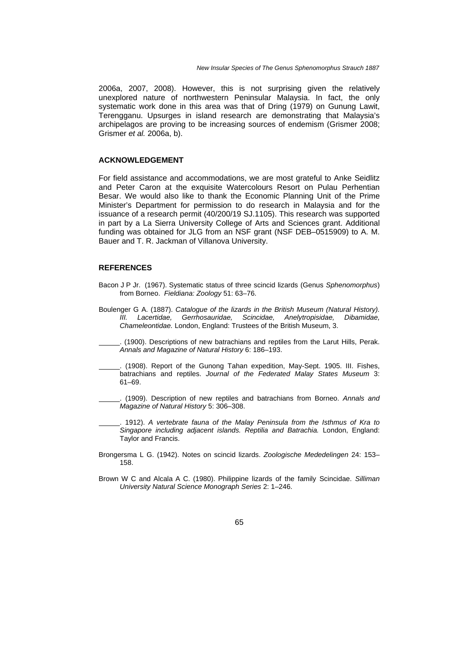2006a, 2007, 2008). However, this is not surprising given the relatively unexplored nature of northwestern Peninsular Malaysia. In fact, the only systematic work done in this area was that of Dring (1979) on Gunung Lawit, Terengganu. Upsurges in island research are demonstrating that Malaysia's archipelagos are proving to be increasing sources of endemism (Grismer 2008; Grismer *et al.* 2006a, b).

# **ACKNOWLEDGEMENT**

For field assistance and accommodations, we are most grateful to Anke Seidlitz and Peter Caron at the exquisite Watercolours Resort on Pulau Perhentian Besar. We would also like to thank the Economic Planning Unit of the Prime Minister's Department for permission to do research in Malaysia and for the issuance of a research permit (40/200/19 SJ.1105). This research was supported in part by a La Sierra University College of Arts and Sciences grant. Additional funding was obtained for JLG from an NSF grant (NSF DEB–0515909) to A. M. Bauer and T. R. Jackman of Villanova University.

## **REFERENCES**

- Bacon J P Jr. (1967). Systematic status of three scincid lizards (Genus *Sphenomorphus*) from Borneo. *Fieldiana: Zoology* 51: 63–76.
- Boulenger G A. (1887). *Catalogue of the lizards in the British Museum (Natural History). III. Lacertidae, Gerrhosauridae, Scincidae, Anelytropisidae, Dibamidae, Chameleontidae.* London, England: Trustees of the British Museum, 3.
- . (1900). Descriptions of new batrachians and reptiles from the Larut Hills, Perak. *Annals and Magazine of Natural History* 6: 186–193.
- . (1908). Report of the Gunong Tahan expedition, May-Sept. 1905. III. Fishes, batrachians and reptiles. *Journal of the Federated Malay States Museum* 3: 61–69.
- . (1909). Description of new reptiles and batrachians from Borneo. *Annals and Magazine of Natural History* 5: 306–308.
	- . 1912). *A vertebrate fauna of the Malay Peninsula from the Isthmus of Kra to Singapore including adjacent islands. Reptilia and Batrachia.* London, England: Taylor and Francis.
- Brongersma L G. (1942). Notes on scincid lizards. *Zoologische Mededelingen* 24: 153– 158.
- Brown W C and Alcala A C. (1980). Philippine lizards of the family Scincidae. *Silliman University Natural Science Monograph Series* 2: 1–246.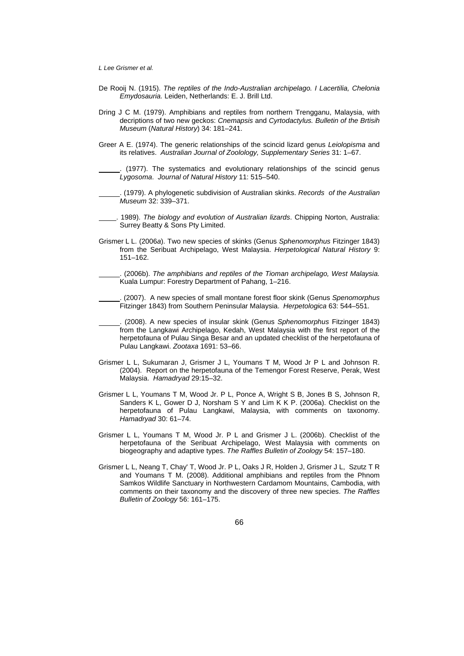- De Rooij N. (1915). *The reptiles of the Indo-Australian archipelago. I Lacertilia, Chelonia Emydosauria.* Leiden, Netherlands: E. J. Brill Ltd.
- Dring J C M. (1979). Amphibians and reptiles from northern Trengganu, Malaysia, with decriptions of two new geckos: *Cnemapsis* and *Cyrtodactylus. Bulletin of the Brtisih Museum* (*Natural History*) 34: 181–241.
- Greer A E. (1974). The generic relationships of the scincid lizard genus *Leiolopisma* and its relatives. *Australian Journal of Zoolology, Supplementary Series* 31: 1–67.

. (1977). The systematics and evolutionary relationships of the scincid genus *Lygosoma*. *Journal of Natural History* 11: 515–540.

- . (1979). A phylogenetic subdivision of Australian skinks. *Records of the Australian Museum* 32: 339–371.
- . 1989). *The biology and evolution of Australian lizards*. Chipping Norton, Australia: Surrey Beatty & Sons Pty Limited.
- Grismer L L. (2006*a*). Two new species of skinks (Genus *Sphenomorphus* Fitzinger 1843) from the Seribuat Archipelago, West Malaysia. *Herpetological Natural History* 9: 151–162.

. (2006b). *The amphibians and reptiles of the Tioman archipelago, West Malaysia.*  Kuala Lumpur: Forestry Department of Pahang, 1–216.

- . (2007). A new species of small montane forest floor skink (Genus *Spenomorphus*  Fitzinger 1843) from Southern Peninsular Malaysia. *Herpetologica* 63: 544–551.
- . (2008). A new species of insular skink (Genus *Sphenomorphus* Fitzinger 1843) from the Langkawi Archipelago, Kedah, West Malaysia with the first report of the herpetofauna of Pulau Singa Besar and an updated checklist of the herpetofauna of Pulau Langkawi. *Zootaxa* 1691: 53–66.
- Grismer L L, Sukumaran J, Grismer J L, Youmans T M, Wood Jr P L and Johnson R. (2004). Report on the herpetofauna of the Temengor Forest Reserve, Perak, West Malaysia. *Hamadryad* 29:15–32.
- Grismer L L, Youmans T M, Wood Jr. P L, Ponce A, Wright S B, Jones B S, Johnson R, Sanders K L, Gower D J, Norsham S Y and Lim K K P. (2006a). Checklist on the herpetofauna of Pulau Langkawi, Malaysia, with comments on taxonomy. *Hamadryad* 30: 61–74.
- Grismer L L, Youmans T M, Wood Jr. P L and Grismer J L. (2006b). Checklist of the herpetofauna of the Seribuat Archipelago, West Malaysia with comments on biogeography and adaptive types. *The Raffles Bulletin of Zoology* 54: 157–180.
- Grismer L L, Neang T, Chay' T, Wood Jr. P L, Oaks J R, Holden J, Grismer J L, Szutz T R and Youmans T M. (2008). Additional amphibians and reptiles from the Phnom Samkos Wildlife Sanctuary in Northwestern Cardamom Mountains, Cambodia, with comments on their taxonomy and the discovery of three new species. *The Raffles Bulletin of Zoology* 56: 161–175.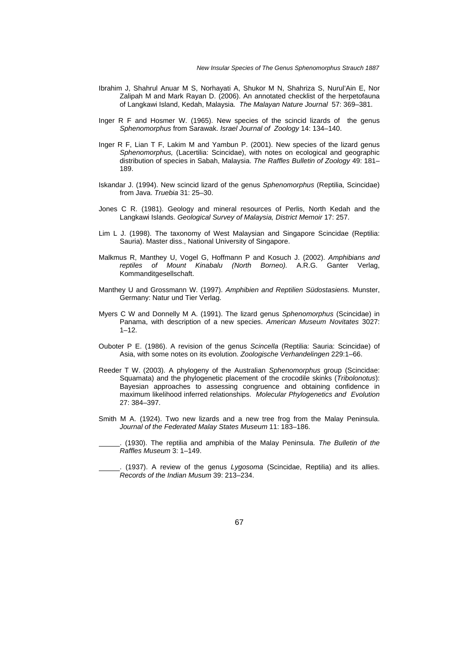- Ibrahim J, Shahrul Anuar M S, Norhayati A, Shukor M N, Shahriza S, Nurul'Ain E, Nor Zalipah M and Mark Rayan D. (2006). An annotated checklist of the herpetofauna of Langkawi Island, Kedah, Malaysia. *The Malayan Nature Journal* 57: 369–381.
- Inger R F and Hosmer W. (1965). New species of the scincid lizards of the genus *Sphenomorphus* from Sarawak. *Israel Journal of Zoology* 14: 134–140.
- Inger R F, Lian T F, Lakim M and Yambun P. (2001). New species of the lizard genus *Sphenomorphus,* (Lacertilia: Scincidae), with notes on ecological and geographic distribution of species in Sabah, Malaysia. *The Raffles Bulletin of Zoology* 49: 181– 189.
- Iskandar J. (1994). New scincid lizard of the genus *Sphenomorphus* (Reptilia, Scincidae) from Java. *Truebia* 31: 25–30.
- Jones C R. (1981). Geology and mineral resources of Perlis, North Kedah and the Langkawi Islands. *Geological Survey of Malaysia, District Memoir* 17: 257.
- Lim L J. (1998). The taxonomy of West Malaysian and Singapore Scincidae (Reptilia: Sauria). Master diss., National University of Singapore.
- Malkmus R, Manthey U, Vogel G, Hoffmann P and Kosuch J. (2002). *Amphibians and reptiles of Mount Kinabalu (North Borneo).* A.R.G. Ganter Verlag, Kommanditgesellschaft.
- Manthey U and Grossmann W. (1997). *Amphibien and Reptilien Südostasiens.* Munster, Germany: Natur und Tier Verlag.
- Myers C W and Donnelly M A. (1991). The lizard genus *Sphenomorphus* (Scincidae) in Panama, with description of a new species. *American Museum Novitates* 3027:  $1 - 12$ .
- Ouboter P E. (1986). A revision of the genus *Scincella* (Reptilia: Sauria: Scincidae) of Asia, with some notes on its evolution. *Zoologische Verhandelingen* 229:1–66.
- Reeder T W. (2003). A phylogeny of the Australian *Sphenomorphus* group (Scincidae: Squamata) and the phylogenetic placement of the crocodile skinks (*Tribolonotus*): Bayesian approaches to assessing congruence and obtaining confidence in maximum likelihood inferred relationships. *Molecular Phylogenetics and Evolution* 27: 384–397.
- Smith M A. (1924). Two new lizards and a new tree frog from the Malay Peninsula. *Journal of the Federated Malay States Museum* 11: 183–186.

. (1930). The reptilia and amphibia of the Malay Peninsula. *The Bulletin of the Raffles Museum* 3: 1–149.

. (1937). A review of the genus *Lygosoma* (Scincidae, Reptilia) and its allies. *Records of the Indian Musum* 39: 213–234.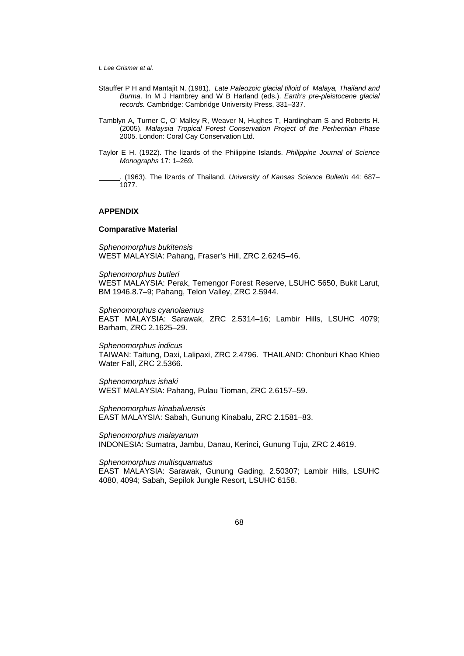- Stauffer P H and Mantajit N. (1981). *Late Paleozoic glacial tilloid of Malaya, Thailand and Burma*. In M J Hambrey and W B Harland (eds.). *Earth's pre-pleistocene glacial records.* Cambridge: Cambridge University Press, 331–337.
- Tamblyn A, Turner C, O' Malley R, Weaver N, Hughes T, Hardingham S and Roberts H. (2005). *Malaysia Tropical Forest Conservation Project of the Perhentian Phase*  2005. London: Coral Cay Conservation Ltd.
- Taylor E H. (1922). The lizards of the Philippine Islands. *Philippine Journal of Science Monographs* 17: 1–269.

. (1963). The lizards of Thailand. *University of Kansas Science Bulletin* 44: 687– 1077.

## **APPENDIX**

#### **Comparative Material**

*Sphenomorphus bukitensis*  WEST MALAYSIA: Pahang, Fraser's Hill, ZRC 2.6245–46.

*Sphenomorphus butleri* WEST MALAYSIA: Perak, Temengor Forest Reserve, LSUHC 5650, Bukit Larut, BM 1946.8.7–9; Pahang, Telon Valley, ZRC 2.5944.

*Sphenomorphus cyanolaemus* EAST MALAYSIA: Sarawak, ZRC 2.5314–16; Lambir Hills, LSUHC 4079; Barham, ZRC 2.1625–29.

*Sphenomorphus indicus* TAIWAN: Taitung, Daxi, Lalipaxi, ZRC 2.4796. THAILAND: Chonburi Khao Khieo Water Fall, ZRC 2.5366.

*Sphenomorphus ishaki* WEST MALAYSIA: Pahang, Pulau Tioman, ZRC 2.6157–59.

*Sphenomorphus kinabaluensis* EAST MALAYSIA: Sabah, Gunung Kinabalu, ZRC 2.1581–83.

*Sphenomorphus malayanum* INDONESIA: Sumatra, Jambu, Danau, Kerinci, Gunung Tuju, ZRC 2.4619.

#### *Sphenomorphus multisquamatus*

EAST MALAYSIA: Sarawak, Gunung Gading, 2.50307; Lambir Hills, LSUHC 4080, 4094; Sabah, Sepilok Jungle Resort, LSUHC 6158.